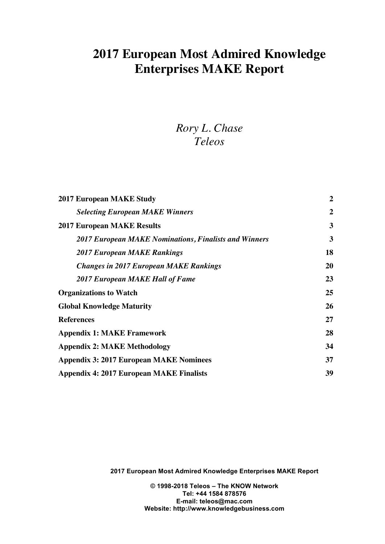# **2017 European Most Admired Knowledge Enterprises MAKE Report**

# *Rory L. Chase Teleos*

| <b>Selecting European MAKE Winners</b><br><b>2017 European MAKE Results</b><br><b>2017 European MAKE Nominations, Finalists and Winners</b><br><b>2017 European MAKE Rankings</b><br><b>Changes in 2017 European MAKE Rankings</b><br><b>2017 European MAKE Hall of Fame</b><br><b>Organizations to Watch</b><br><b>Global Knowledge Maturity</b><br><b>References</b><br><b>Appendix 1: MAKE Framework</b><br><b>Appendix 2: MAKE Methodology</b><br><b>Appendix 3: 2017 European MAKE Nominees</b> | <b>2017 European MAKE Study</b> | $\overline{2}$ |
|------------------------------------------------------------------------------------------------------------------------------------------------------------------------------------------------------------------------------------------------------------------------------------------------------------------------------------------------------------------------------------------------------------------------------------------------------------------------------------------------------|---------------------------------|----------------|
|                                                                                                                                                                                                                                                                                                                                                                                                                                                                                                      |                                 | $\overline{2}$ |
|                                                                                                                                                                                                                                                                                                                                                                                                                                                                                                      |                                 | 3              |
|                                                                                                                                                                                                                                                                                                                                                                                                                                                                                                      |                                 | 3              |
|                                                                                                                                                                                                                                                                                                                                                                                                                                                                                                      |                                 | 18             |
|                                                                                                                                                                                                                                                                                                                                                                                                                                                                                                      |                                 | <b>20</b>      |
|                                                                                                                                                                                                                                                                                                                                                                                                                                                                                                      |                                 | 23             |
|                                                                                                                                                                                                                                                                                                                                                                                                                                                                                                      |                                 | 25             |
|                                                                                                                                                                                                                                                                                                                                                                                                                                                                                                      |                                 | 26             |
|                                                                                                                                                                                                                                                                                                                                                                                                                                                                                                      |                                 | 27             |
|                                                                                                                                                                                                                                                                                                                                                                                                                                                                                                      |                                 | 28             |
|                                                                                                                                                                                                                                                                                                                                                                                                                                                                                                      |                                 | 34             |
|                                                                                                                                                                                                                                                                                                                                                                                                                                                                                                      |                                 | 37             |
| <b>Appendix 4: 2017 European MAKE Finalists</b>                                                                                                                                                                                                                                                                                                                                                                                                                                                      |                                 | 39             |

**2017 European Most Admired Knowledge Enterprises MAKE Report**

**© 1998-2018 Teleos – The KNOW Network Tel: +44 1584 878576 E-mail: teleos@mac.com Website: http://www.knowledgebusiness.com**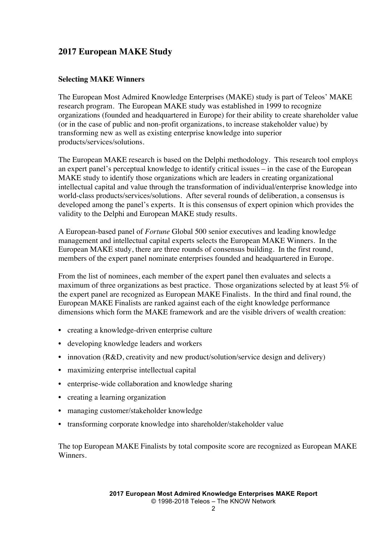### **2017 European MAKE Study**

#### **Selecting MAKE Winners**

The European Most Admired Knowledge Enterprises (MAKE) study is part of Teleos' MAKE research program. The European MAKE study was established in 1999 to recognize organizations (founded and headquartered in Europe) for their ability to create shareholder value (or in the case of public and non-profit organizations, to increase stakeholder value) by transforming new as well as existing enterprise knowledge into superior products/services/solutions.

The European MAKE research is based on the Delphi methodology. This research tool employs an expert panel's perceptual knowledge to identify critical issues – in the case of the European MAKE study to identify those organizations which are leaders in creating organizational intellectual capital and value through the transformation of individual/enterprise knowledge into world-class products/services/solutions. After several rounds of deliberation, a consensus is developed among the panel's experts. It is this consensus of expert opinion which provides the validity to the Delphi and European MAKE study results.

A European-based panel of *Fortune* Global 500 senior executives and leading knowledge management and intellectual capital experts selects the European MAKE Winners. In the European MAKE study, there are three rounds of consensus building. In the first round, members of the expert panel nominate enterprises founded and headquartered in Europe.

From the list of nominees, each member of the expert panel then evaluates and selects a maximum of three organizations as best practice. Those organizations selected by at least 5% of the expert panel are recognized as European MAKE Finalists. In the third and final round, the European MAKE Finalists are ranked against each of the eight knowledge performance dimensions which form the MAKE framework and are the visible drivers of wealth creation:

- creating a knowledge-driven enterprise culture
- developing knowledge leaders and workers
- innovation (R&D, creativity and new product/solution/service design and delivery)
- maximizing enterprise intellectual capital
- enterprise-wide collaboration and knowledge sharing
- creating a learning organization
- managing customer/stakeholder knowledge
- transforming corporate knowledge into shareholder/stakeholder value

The top European MAKE Finalists by total composite score are recognized as European MAKE Winners.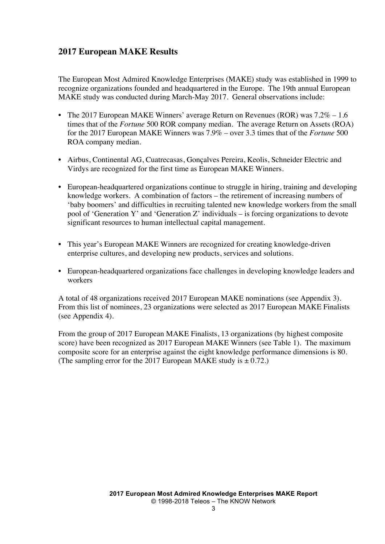### **2017 European MAKE Results**

The European Most Admired Knowledge Enterprises (MAKE) study was established in 1999 to recognize organizations founded and headquartered in the Europe. The 19th annual European MAKE study was conducted during March-May 2017. General observations include:

- The 2017 European MAKE Winners' average Return on Revenues (ROR) was  $7.2\% 1.6$ times that of the *Fortune* 500 ROR company median. The average Return on Assets (ROA) for the 2017 European MAKE Winners was 7.9% – over 3.3 times that of the *Fortune* 500 ROA company median.
- Airbus, Continental AG, Cuatrecasas, Gonçalves Pereira, Keolis, Schneider Electric and Virdys are recognized for the first time as European MAKE Winners.
- European-headquartered organizations continue to struggle in hiring, training and developing knowledge workers. A combination of factors – the retirement of increasing numbers of 'baby boomers' and difficulties in recruiting talented new knowledge workers from the small pool of 'Generation Y' and 'Generation Z' individuals – is forcing organizations to devote significant resources to human intellectual capital management.
- This year's European MAKE Winners are recognized for creating knowledge-driven enterprise cultures, and developing new products, services and solutions.
- European-headquartered organizations face challenges in developing knowledge leaders and workers

A total of 48 organizations received 2017 European MAKE nominations (see Appendix 3). From this list of nominees, 23 organizations were selected as 2017 European MAKE Finalists (see Appendix 4).

From the group of 2017 European MAKE Finalists, 13 organizations (by highest composite score) have been recognized as 2017 European MAKE Winners (see Table 1). The maximum composite score for an enterprise against the eight knowledge performance dimensions is 80. (The sampling error for the 2017 European MAKE study is  $\pm$  0.72.)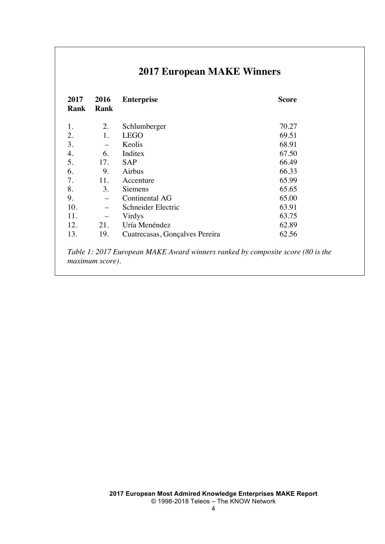# **2017 European MAKE Winners**

| 2017 | 2016                    | <b>Enterprise</b>                                                              | <b>Score</b> |
|------|-------------------------|--------------------------------------------------------------------------------|--------------|
| Rank | Rank                    |                                                                                |              |
|      |                         |                                                                                |              |
| 1.   | 2.                      | Schlumberger                                                                   | 70.27        |
| 2.   | 1.                      | <b>LEGO</b>                                                                    | 69.51        |
| 3.   |                         | Keolis                                                                         | 68.91        |
| 4.   | 6.                      | Inditex                                                                        | 67.50        |
| 5.   | 17.                     | <b>SAP</b>                                                                     | 66.49        |
| 6.   | 9.                      | Airbus                                                                         | 66.33        |
| 7.   | 11.                     | Accenture                                                                      | 65.99        |
| 8.   | 3.                      | <b>Siemens</b>                                                                 | 65.65        |
| 9.   |                         | Continental AG                                                                 | 65.00        |
| 10.  |                         | Schneider Electric                                                             | 63.91        |
| 11.  |                         | Virdys                                                                         | 63.75        |
| 12.  | 21.                     | Uría Menéndez                                                                  | 62.89        |
| 13.  | 19.                     | Cuatrecasas, Gonçalves Pereira                                                 | 62.56        |
|      |                         |                                                                                |              |
|      |                         | Table 1: 2017 European MAKE Award winners ranked by composite score (80 is the |              |
|      | <i>maximum score</i> ). |                                                                                |              |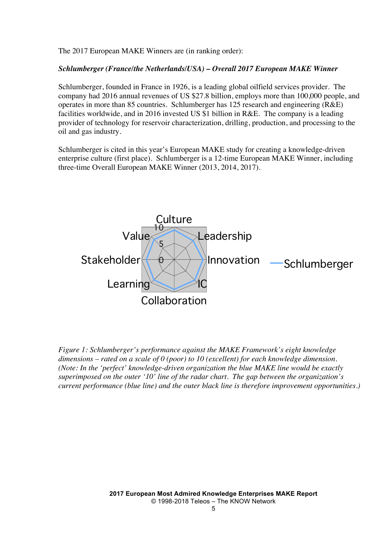The 2017 European MAKE Winners are (in ranking order):

#### *Schlumberger (France/the Netherlands/USA) – Overall 2017 European MAKE Winner*

Schlumberger, founded in France in 1926, is a leading global oilfield services provider. The company had 2016 annual revenues of US \$27.8 billion, employs more than 100,000 people, and operates in more than 85 countries. Schlumberger has 125 research and engineering (R&E) facilities worldwide, and in 2016 invested US \$1 billion in R&E. The company is a leading provider of technology for reservoir characterization, drilling, production, and processing to the oil and gas industry.

Schlumberger is cited in this year's European MAKE study for creating a knowledge-driven enterprise culture (first place). Schlumberger is a 12-time European MAKE Winner, including three-time Overall European MAKE Winner (2013, 2014, 2017).



*Figure 1: Schlumberger's performance against the MAKE Framework's eight knowledge dimensions – rated on a scale of 0 (poor) to 10 (excellent) for each knowledge dimension. (Note: In the 'perfect' knowledge-driven organization the blue MAKE line would be exactly superimposed on the outer '10' line of the radar chart. The gap between the organization's current performance (blue line) and the outer black line is therefore improvement opportunities.)*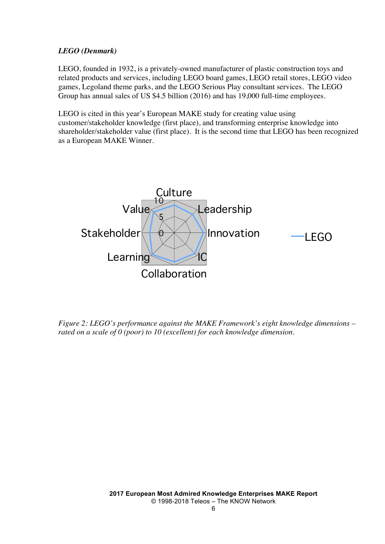#### *LEGO (Denmark)*

LEGO, founded in 1932, is a privately-owned manufacturer of plastic construction toys and related products and services, including LEGO board games, LEGO retail stores, LEGO video games, Legoland theme parks, and the LEGO Serious Play consultant services. The LEGO Group has annual sales of US \$4.5 billion (2016) and has 19,000 full-time employees.

LEGO is cited in this year's European MAKE study for creating value using customer/stakeholder knowledge (first place), and transforming enterprise knowledge into shareholder/stakeholder value (first place). It is the second time that LEGO has been recognized as a European MAKE Winner.



*Figure 2: LEGO's performance against the MAKE Framework's eight knowledge dimensions – rated on a scale of 0 (poor) to 10 (excellent) for each knowledge dimension.*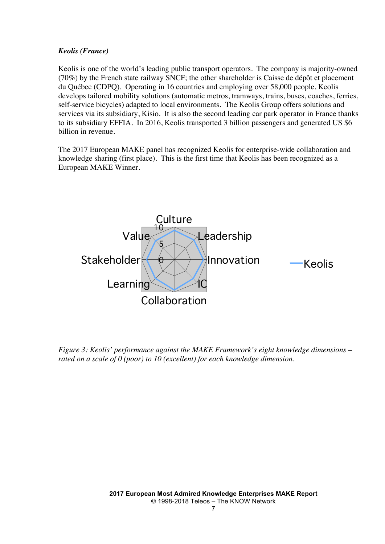#### *Keolis (France)*

Keolis is one of the world's leading public transport operators. The company is majority-owned (70%) by the French state railway SNCF; the other shareholder is Caisse de dépôt et placement du Québec (CDPQ). Operating in 16 countries and employing over 58,000 people, Keolis develops tailored mobility solutions (automatic metros, tramways, trains, buses, coaches, ferries, self-service bicycles) adapted to local environments. The Keolis Group offers solutions and services via its subsidiary, Kisio. It is also the second leading car park operator in France thanks to its subsidiary EFFIA. In 2016, Keolis transported 3 billion passengers and generated US \$6 billion in revenue.

The 2017 European MAKE panel has recognized Keolis for enterprise-wide collaboration and knowledge sharing (first place). This is the first time that Keolis has been recognized as a European MAKE Winner.



*Figure 3: Keolis' performance against the MAKE Framework's eight knowledge dimensions – rated on a scale of 0 (poor) to 10 (excellent) for each knowledge dimension.*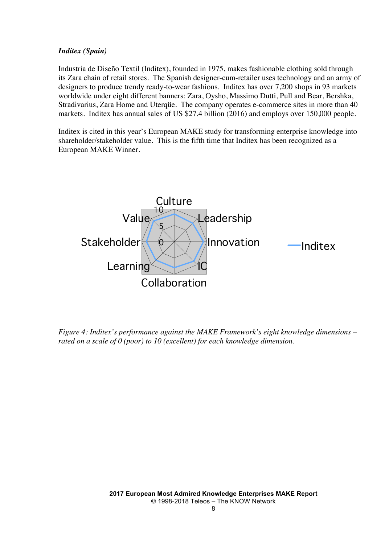#### *Inditex (Spain)*

Industria de Diseño Textil (Inditex), founded in 1975, makes fashionable clothing sold through its Zara chain of retail stores. The Spanish designer-cum-retailer uses technology and an army of designers to produce trendy ready-to-wear fashions. Inditex has over 7,200 shops in 93 markets worldwide under eight different banners: Zara, Oysho, Massimo Dutti, Pull and Bear, Bershka, Stradivarius, Zara Home and Uterqüe. The company operates e-commerce sites in more than 40 markets. Inditex has annual sales of US \$27.4 billion (2016) and employs over 150,000 people.

Inditex is cited in this year's European MAKE study for transforming enterprise knowledge into shareholder/stakeholder value. This is the fifth time that Inditex has been recognized as a European MAKE Winner.



*Figure 4: Inditex's performance against the MAKE Framework's eight knowledge dimensions – rated on a scale of 0 (poor) to 10 (excellent) for each knowledge dimension.*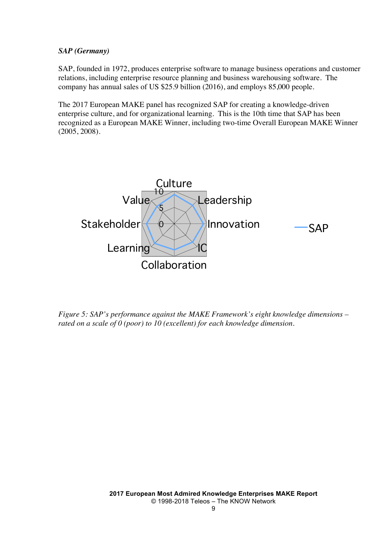#### *SAP (Germany)*

SAP, founded in 1972, produces enterprise software to manage business operations and customer relations, including enterprise resource planning and business warehousing software. The company has annual sales of US \$25.9 billion (2016), and employs 85,000 people.

The 2017 European MAKE panel has recognized SAP for creating a knowledge-driven enterprise culture, and for organizational learning. This is the 10th time that SAP has been recognized as a European MAKE Winner, including two-time Overall European MAKE Winner (2005, 2008).



*Figure 5: SAP's performance against the MAKE Framework's eight knowledge dimensions – rated on a scale of 0 (poor) to 10 (excellent) for each knowledge dimension.*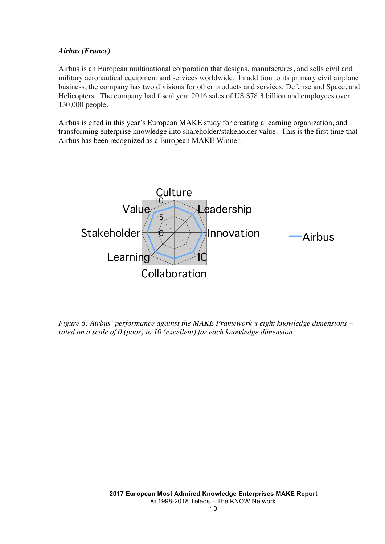#### *Airbus (France)*

Airbus is an European multinational corporation that designs, manufactures, and sells civil and military aeronautical equipment and services worldwide. In addition to its primary civil airplane business, the company has two divisions for other products and services: Defense and Space, and Helicopters. The company had fiscal year 2016 sales of US \$78.3 billion and employees over 130,000 people.

Airbus is cited in this year's European MAKE study for creating a learning organization, and transforming enterprise knowledge into shareholder/stakeholder value. This is the first time that Airbus has been recognized as a European MAKE Winner.



*Figure 6: Airbus' performance against the MAKE Framework's eight knowledge dimensions – rated on a scale of 0 (poor) to 10 (excellent) for each knowledge dimension.*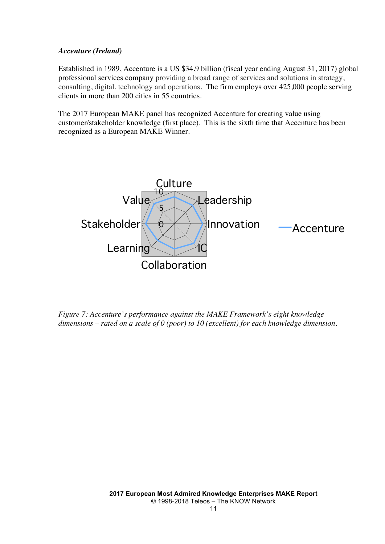#### *Accenture (Ireland)*

Established in 1989, Accenture is a US \$34.9 billion (fiscal year ending August 31, 2017) global professional services company providing a broad range of services and solutions in strategy, consulting, digital, technology and operations. The firm employs over 425,000 people serving clients in more than 200 cities in 55 countries.

The 2017 European MAKE panel has recognized Accenture for creating value using customer/stakeholder knowledge (first place). This is the sixth time that Accenture has been recognized as a European MAKE Winner.



*Figure 7: Accenture's performance against the MAKE Framework's eight knowledge dimensions – rated on a scale of 0 (poor) to 10 (excellent) for each knowledge dimension.*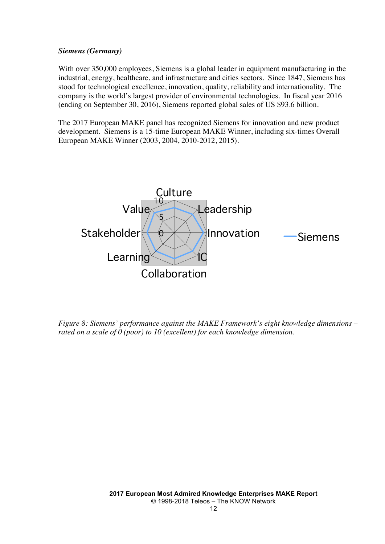#### *Siemens (Germany)*

With over 350,000 employees, Siemens is a global leader in equipment manufacturing in the industrial, energy, healthcare, and infrastructure and cities sectors. Since 1847, Siemens has stood for technological excellence, innovation, quality, reliability and internationality. The company is the world's largest provider of environmental technologies. In fiscal year 2016 (ending on September 30, 2016), Siemens reported global sales of US \$93.6 billion.

The 2017 European MAKE panel has recognized Siemens for innovation and new product development. Siemens is a 15-time European MAKE Winner, including six-times Overall European MAKE Winner (2003, 2004, 2010-2012, 2015).



*Figure 8: Siemens' performance against the MAKE Framework's eight knowledge dimensions – rated on a scale of 0 (poor) to 10 (excellent) for each knowledge dimension.*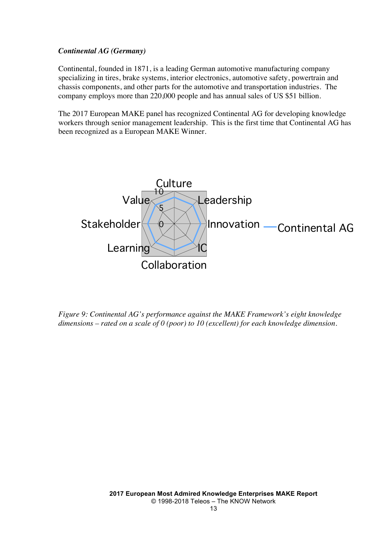#### *Continental AG (Germany)*

Continental, founded in 1871, is a leading German automotive manufacturing company specializing in tires, brake systems, interior electronics, automotive safety, powertrain and chassis components, and other parts for the automotive and transportation industries. The company employs more than 220,000 people and has annual sales of US \$51 billion.

The 2017 European MAKE panel has recognized Continental AG for developing knowledge workers through senior management leadership. This is the first time that Continental AG has been recognized as a European MAKE Winner.



*Figure 9: Continental AG's performance against the MAKE Framework's eight knowledge dimensions – rated on a scale of 0 (poor) to 10 (excellent) for each knowledge dimension.*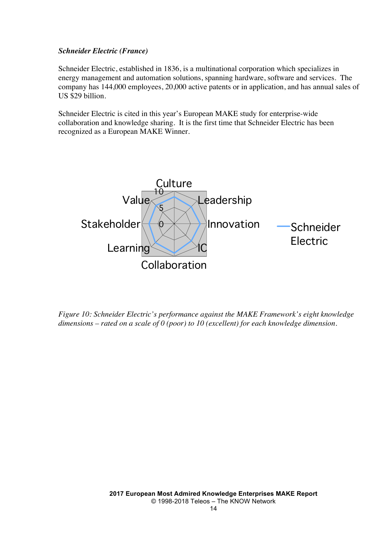#### *Schneider Electric (France)*

Schneider Electric, established in 1836, is a multinational corporation which specializes in energy management and automation solutions, spanning hardware, software and services. The company has 144,000 employees, 20,000 active patents or in application, and has annual sales of US \$29 billion.

Schneider Electric is cited in this year's European MAKE study for enterprise-wide collaboration and knowledge sharing. It is the first time that Schneider Electric has been recognized as a European MAKE Winner.



*Figure 10: Schneider Electric's performance against the MAKE Framework's eight knowledge dimensions – rated on a scale of 0 (poor) to 10 (excellent) for each knowledge dimension.*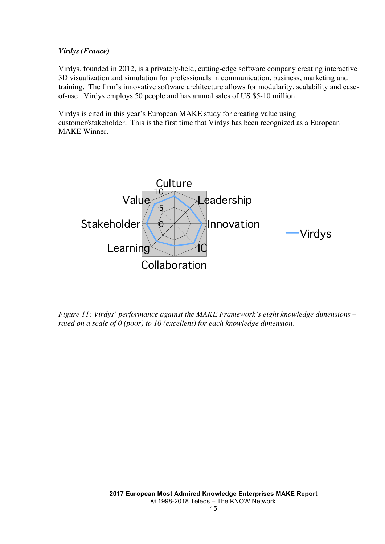#### *Virdys (France)*

Virdys, founded in 2012, is a privately-held, cutting-edge software company creating interactive 3D visualization and simulation for professionals in communication, business, marketing and training. The firm's innovative software architecture allows for modularity, scalability and easeof-use. Virdys employs 50 people and has annual sales of US \$5-10 million.

Virdys is cited in this year's European MAKE study for creating value using customer/stakeholder. This is the first time that Virdys has been recognized as a European MAKE Winner.



*Figure 11: Virdys' performance against the MAKE Framework's eight knowledge dimensions – rated on a scale of 0 (poor) to 10 (excellent) for each knowledge dimension.*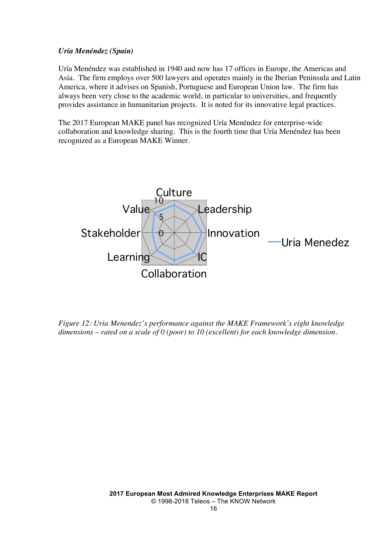#### *Uría Menéndez (Spain)*

Uría Menéndez was established in 1940 and now has 17 offices in Europe, the Americas and Asia. The firm employs over 500 lawyers and operates mainly in the Iberian Peninsula and Latin America, where it advises on Spanish, Portuguese and European Union law. The firm has always been very close to the academic world, in particular to universities, and frequently provides assistance in humanitarian projects. It is noted for its innovative legal practices.

The 2017 European MAKE panel has recognized Uría Menéndez for enterprise-wide collaboration and knowledge sharing. This is the fourth time that Uría Menéndez has been recognized as a European MAKE Winner.



*Figure 12: Uria Menendez's performance against the MAKE Framework's eight knowledge dimensions – rated on a scale of 0 (poor) to 10 (excellent) for each knowledge dimension.*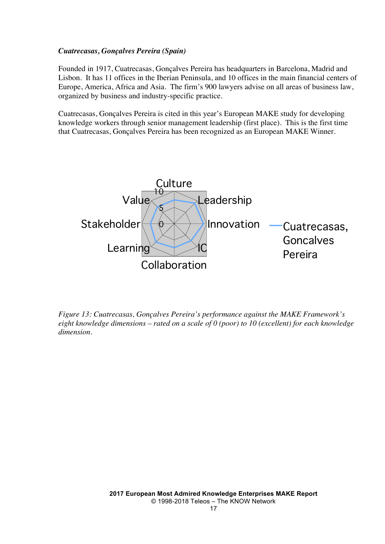#### *Cuatrecasas, Gonçalves Pereira (Spain)*

Founded in 1917, Cuatrecasas, Gonçalves Pereira has headquarters in Barcelona, Madrid and Lisbon. It has 11 offices in the Iberian Peninsula, and 10 offices in the main financial centers of Europe, America, Africa and Asia. The firm's 900 lawyers advise on all areas of business law, organized by business and industry-specific practice.

Cuatrecasas, Gonçalves Pereira is cited in this year's European MAKE study for developing knowledge workers through senior management leadership (first place). This is the first time that Cuatrecasas, Gonçalves Pereira has been recognized as an European MAKE Winner.



*Figure 13: Cuatrecasas, Gonçalves Pereira's performance against the MAKE Framework's eight knowledge dimensions – rated on a scale of 0 (poor) to 10 (excellent) for each knowledge dimension.*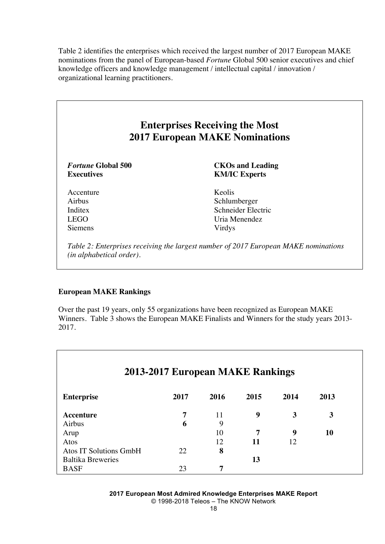Table 2 identifies the enterprises which received the largest number of 2017 European MAKE nominations from the panel of European-based *Fortune* Global 500 senior executives and chief knowledge officers and knowledge management / intellectual capital / innovation / organizational learning practitioners.

| <b>Enterprises Receiving the Most</b><br><b>2017 European MAKE Nominations</b> |                                                 |  |  |  |  |  |
|--------------------------------------------------------------------------------|-------------------------------------------------|--|--|--|--|--|
| <i>Fortune</i> Global 500<br><b>Executives</b>                                 | <b>CKOs and Leading</b><br><b>KM/IC Experts</b> |  |  |  |  |  |
| Accenture                                                                      | Keolis                                          |  |  |  |  |  |
| Airbus                                                                         | Schlumberger                                    |  |  |  |  |  |
| Inditex                                                                        | Schneider Electric                              |  |  |  |  |  |
| <b>LEGO</b>                                                                    | Uria Menendez                                   |  |  |  |  |  |
| <b>Siemens</b>                                                                 | Virdys                                          |  |  |  |  |  |

#### **European MAKE Rankings**

Over the past 19 years, only 55 organizations have been recognized as European MAKE Winners. Table 3 shows the European MAKE Finalists and Winners for the study years 2013- 2017.

| 2013-2017 European MAKE Rankings |      |      |      |      |      |  |
|----------------------------------|------|------|------|------|------|--|
| <b>Enterprise</b>                | 2017 | 2016 | 2015 | 2014 | 2013 |  |
| Accenture                        | 7    | 11   | 9    | 3    | 3    |  |
| Airbus                           | 6    | 9    |      |      |      |  |
| Arup                             |      | 10   | 7    | 9    | 10   |  |
| Atos                             |      | 12   | 11   | 12   |      |  |
| <b>Atos IT Solutions GmbH</b>    | 22   | 8    |      |      |      |  |
| <b>Baltika Breweries</b>         |      |      | 13   |      |      |  |
| <b>BASF</b>                      | 23   | 7    |      |      |      |  |

**2017 European Most Admired Knowledge Enterprises MAKE Report** © 1998-2018 Teleos – The KNOW Network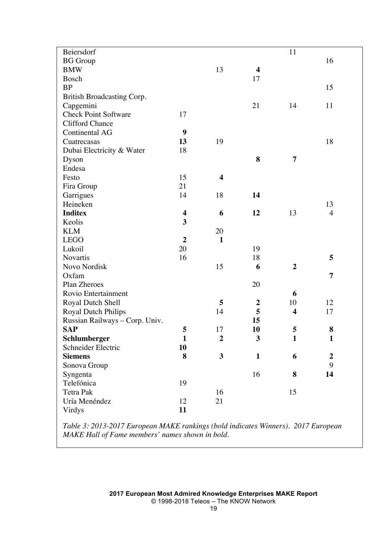| Beiersdorf                     |                         |                         |                         | 11                      |                  |  |
|--------------------------------|-------------------------|-------------------------|-------------------------|-------------------------|------------------|--|
| <b>BG</b> Group                |                         |                         |                         |                         | 16               |  |
| <b>BMW</b>                     |                         | 13                      | $\overline{\mathbf{4}}$ |                         |                  |  |
| Bosch                          |                         |                         | 17                      |                         |                  |  |
| <b>BP</b>                      |                         |                         |                         |                         | 15               |  |
| British Broadcasting Corp.     |                         |                         |                         |                         |                  |  |
| Capgemini                      |                         |                         | 21                      | 14                      | 11               |  |
| <b>Check Point Software</b>    | 17                      |                         |                         |                         |                  |  |
| <b>Clifford Chance</b>         |                         |                         |                         |                         |                  |  |
| Continental AG                 | 9                       |                         |                         |                         |                  |  |
| Cuatrecasas                    | 13                      | 19                      |                         |                         | 18               |  |
| Dubai Electricity & Water      | 18                      |                         |                         |                         |                  |  |
| Dyson                          |                         |                         | 8                       | 7                       |                  |  |
| Endesa                         |                         |                         |                         |                         |                  |  |
| Festo                          | 15                      | $\overline{\mathbf{4}}$ |                         |                         |                  |  |
| Fira Group                     | 21                      |                         |                         |                         |                  |  |
| Garrigues                      | 14                      | 18                      | 14                      |                         |                  |  |
| Heineken                       |                         |                         |                         |                         | 13               |  |
| <b>Inditex</b>                 | $\overline{\mathbf{4}}$ | 6                       | 12                      | 13                      | $\overline{4}$   |  |
| Keolis                         | $\overline{\mathbf{3}}$ |                         |                         |                         |                  |  |
| <b>KLM</b>                     |                         | 20                      |                         |                         |                  |  |
| <b>LEGO</b>                    | $\overline{2}$          | $\mathbf{1}$            |                         |                         |                  |  |
| Lukoil                         | 20                      |                         | 19                      |                         |                  |  |
| Novartis                       | 16                      |                         | 18                      |                         | 5                |  |
| Novo Nordisk                   |                         | 15                      | 6                       | $\boldsymbol{2}$        |                  |  |
| Oxfam                          |                         |                         |                         |                         | 7                |  |
| Plan Zheroes                   |                         |                         | 20                      |                         |                  |  |
| Rovio Entertainment            |                         |                         |                         | 6                       |                  |  |
| <b>Royal Dutch Shell</b>       |                         | 5                       | $\boldsymbol{2}$        | 10                      | 12               |  |
| Royal Dutch Philips            |                         | 14                      | 5                       | $\overline{\mathbf{4}}$ | 17               |  |
| Russian Railways - Corp. Univ. |                         |                         | 15                      |                         |                  |  |
| <b>SAP</b>                     | 5                       | 17                      | 10                      | 5                       | $\bf{8}$         |  |
| Schlumberger                   | $\mathbf{1}$            | $\boldsymbol{2}$        | 3                       | $\mathbf{1}$            | $\mathbf{1}$     |  |
| Schneider Electric             | 10                      |                         |                         |                         |                  |  |
| <b>Siemens</b>                 | 8                       | 3                       | $\mathbf{1}$            | 6                       | $\boldsymbol{2}$ |  |
| Sonova Group                   |                         |                         |                         |                         | 9                |  |
| Syngenta                       |                         |                         | 16                      | 8                       | 14               |  |
| Telefónica                     | 19                      |                         |                         |                         |                  |  |
| Tetra Pak                      |                         | 16                      |                         | 15                      |                  |  |
| Uría Menéndez                  | 12                      | 21                      |                         |                         |                  |  |
| Virdys                         | 11                      |                         |                         |                         |                  |  |
|                                |                         |                         |                         |                         |                  |  |

*Table 3: 2013-2017 European MAKE rankings (bold indicates Winners). 2017 European MAKE Hall of Fame members' names shown in bold.*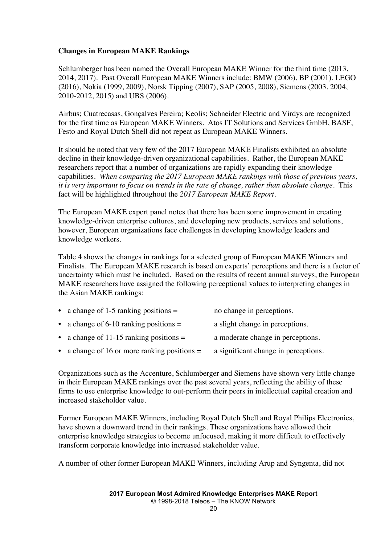#### **Changes in European MAKE Rankings**

Schlumberger has been named the Overall European MAKE Winner for the third time (2013, 2014, 2017). Past Overall European MAKE Winners include: BMW (2006), BP (2001), LEGO (2016), Nokia (1999, 2009), Norsk Tipping (2007), SAP (2005, 2008), Siemens (2003, 2004, 2010-2012, 2015) and UBS (2006).

Airbus; Cuatrecasas, Gonçalves Pereira; Keolis; Schneider Electric and Virdys are recognized for the first time as European MAKE Winners. Atos IT Solutions and Services GmbH, BASF, Festo and Royal Dutch Shell did not repeat as European MAKE Winners.

It should be noted that very few of the 2017 European MAKE Finalists exhibited an absolute decline in their knowledge-driven organizational capabilities. Rather, the European MAKE researchers report that a number of organizations are rapidly expanding their knowledge capabilities. *When comparing the 2017 European MAKE rankings with those of previous years, it is very important to focus on trends in the rate of change, rather than absolute change.* This fact will be highlighted throughout the *2017 European MAKE Report.*

The European MAKE expert panel notes that there has been some improvement in creating knowledge-driven enterprise cultures, and developing new products, services and solutions, however, European organizations face challenges in developing knowledge leaders and knowledge workers.

Table 4 shows the changes in rankings for a selected group of European MAKE Winners and Finalists. The European MAKE research is based on experts' perceptions and there is a factor of uncertainty which must be included. Based on the results of recent annual surveys, the European MAKE researchers have assigned the following perceptional values to interpreting changes in the Asian MAKE rankings:

| • a change of 1-5 ranking positions $=$   | no change in perceptions.         |
|-------------------------------------------|-----------------------------------|
| • a change of 6-10 ranking positions $=$  | a slight change in perceptions.   |
| • a change of 11-15 ranking positions $=$ | a moderate change in perceptions. |

• a change of 16 or more ranking positions = a significant change in perceptions.

Organizations such as the Accenture, Schlumberger and Siemens have shown very little change in their European MAKE rankings over the past several years, reflecting the ability of these firms to use enterprise knowledge to out-perform their peers in intellectual capital creation and increased stakeholder value.

Former European MAKE Winners, including Royal Dutch Shell and Royal Philips Electronics, have shown a downward trend in their rankings. These organizations have allowed their enterprise knowledge strategies to become unfocused, making it more difficult to effectively transform corporate knowledge into increased stakeholder value.

A number of other former European MAKE Winners, including Arup and Syngenta, did not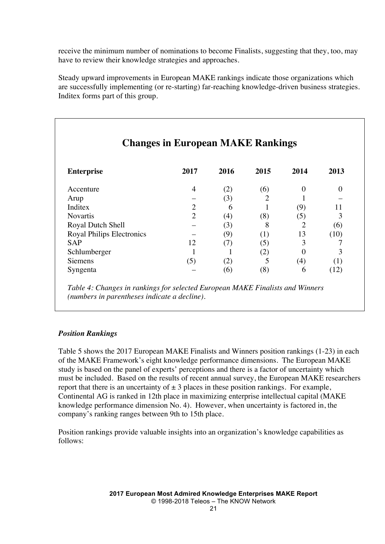receive the minimum number of nominations to become Finalists, suggesting that they, too, may have to review their knowledge strategies and approaches.

Steady upward improvements in European MAKE rankings indicate those organizations which are successfully implementing (or re-starting) far-reaching knowledge-driven business strategies. Inditex forms part of this group.

|                                  | <b>Changes in European MAKE Rankings</b> |      |          |          |          |
|----------------------------------|------------------------------------------|------|----------|----------|----------|
| <b>Enterprise</b>                | 2017                                     | 2016 | 2015     | 2014     | 2013     |
| Accenture                        | 4                                        | (2)  | (6)      | $\Omega$ | $\Omega$ |
| Arup                             |                                          | (3)  | 2        |          |          |
| Inditex                          | 2                                        | 6    |          | (9)      | 11       |
| <b>Novartis</b>                  | $\overline{2}$                           | (4)  | (8)      | (5)      | 3        |
| Royal Dutch Shell                |                                          | (3)  | 8        |          | (6)      |
| <b>Royal Philips Electronics</b> |                                          | (9)  | (1)      | 13       | (10)     |
| <b>SAP</b>                       | 12                                       | (7)  | (5)      | 3        |          |
| Schlumberger                     |                                          |      | $\rm(2)$ | $\Omega$ | 3        |
| <b>Siemens</b>                   | (5)                                      | (2)  | 5        | (4)      | (1)      |
| Syngenta                         |                                          | (6)  | (8)      | 6        | (12)     |

*Table 4: Changes in rankings for selected European MAKE Finalists and Winners (numbers in parentheses indicate a decline).*

#### *Position Rankings*

Table 5 shows the 2017 European MAKE Finalists and Winners position rankings (1-23) in each of the MAKE Framework's eight knowledge performance dimensions. The European MAKE study is based on the panel of experts' perceptions and there is a factor of uncertainty which must be included. Based on the results of recent annual survey, the European MAKE researchers report that there is an uncertainty of  $\pm 3$  places in these position rankings. For example, Continental AG is ranked in 12th place in maximizing enterprise intellectual capital (MAKE knowledge performance dimension No. 4). However, when uncertainty is factored in, the company's ranking ranges between 9th to 15th place.

Position rankings provide valuable insights into an organization's knowledge capabilities as follows: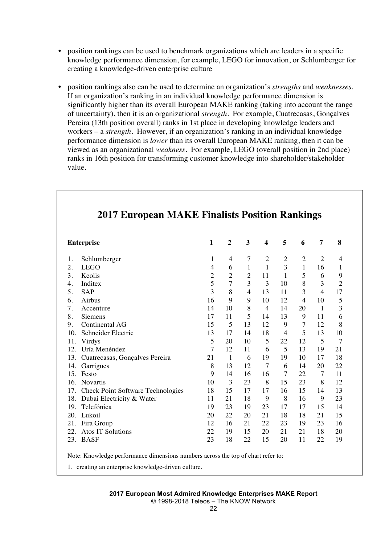- position rankings can be used to benchmark organizations which are leaders in a specific knowledge performance dimension, for example, LEGO for innovation, or Schlumberger for creating a knowledge-driven enterprise culture
- position rankings also can be used to determine an organization's *strengths* and *weaknesses.* If an organization's ranking in an individual knowledge performance dimension is significantly higher than its overall European MAKE ranking (taking into account the range of uncertainty), then it is an organizational *strength.* For example, Cuatrecasas, Gonçalves Pereira (13th position overall) ranks in 1st place in developing knowledge leaders and workers – a *strength.* However, if an organization's ranking in an individual knowledge performance dimension is *lower* than its overall European MAKE ranking, then it can be viewed as an organizational *weakness.* For example, LEGO (overall position in 2nd place) ranks in 16th position for transforming customer knowledge into shareholder/stakeholder value.

| <b>Enterprise</b>                     | $\mathbf{1}$   | $\overline{2}$ | 3              | $\overline{\mathbf{4}}$ | 5              | 6              | $\overline{7}$ | 8              |
|---------------------------------------|----------------|----------------|----------------|-------------------------|----------------|----------------|----------------|----------------|
| Schlumberger<br>1.                    | 1              | 4              | 7              | $\overline{2}$          | $\mathbf{2}$   | $\overline{2}$ | $\overline{2}$ | 4              |
| <b>LEGO</b><br>2.                     | $\overline{4}$ | 6              | $\mathbf{1}$   | $\mathbf{1}$            | 3              | $\mathbf{1}$   | 16             | $\mathbf{1}$   |
| 3.<br>Keolis                          | $\overline{2}$ | $\overline{2}$ | $\overline{2}$ | 11                      | 1              | 5              | 6              | 9              |
| Inditex<br>4.                         | 5              | $\overline{7}$ | 3              | 3                       | 10             | 8              | 3              | $\overline{c}$ |
| 5.<br><b>SAP</b>                      | 3              | 8              | $\overline{4}$ | 13                      | 11             | 3              | $\overline{4}$ | 17             |
| Airbus<br>6.                          | 16             | 9              | 9              | 10                      | 12             | 4              | 10             | 5              |
| 7.<br>Accenture                       | 14             | 10             | 8              | $\overline{4}$          | 14             | 20             | $\overline{1}$ | 3              |
| 8.<br><b>Siemens</b>                  | 17             | 11             | 5              | 14                      | 13             | 9              | 11             | 6              |
| Continental AG<br>9.                  | 15             | 5              | 13             | 12                      | 9              | 7              | 12             | 8              |
| Schneider Electric<br>10.             | 13             | 17             | 14             | 18                      | $\overline{4}$ | 5              | 13             | 10             |
| Virdys<br>11.                         | 5              | 20             | 10             | 5                       | 22             | 12             | 5              | $\overline{7}$ |
| 12. Uría Menéndez                     | 7              | 12             | 11             | 6                       | 5              | 13             | 19             | 21             |
| 13. Cuatrecasas, Gonçalves Pereira    | 21             | 1              | 6              | 19                      | 19             | 10             | 17             | 18             |
| Garrigues<br>14.                      | 8              | 13             | 12             | 7                       | 6              | 14             | 20             | 22             |
| 15. Festo                             | 9              | 14             | 16             | 16                      | 7              | 22             | 7              | 11             |
| 16. Novartis                          | 10             | 3              | 23             | 8                       | 15             | 23             | 8              | 12             |
| 17. Check Point Software Technologies | 18             | 15             | 17             | 17                      | 16             | 15             | 14             | 13             |
| 18. Dubai Electricity & Water         | 11             | 21             | 18             | 9                       | 8              | 16             | 9              | 23             |
| 19. Telefónica                        | 19             | 23             | 19             | 23                      | 17             | 17             | 15             | 14             |
| 20. Lukoil                            | 20             | 22             | 20             | 21                      | 18             | 18             | 21             | 15             |
| 21. Fira Group                        | 12             | 16             | 21             | 22                      | 23             | 19             | 23             | 16             |
| 22. Atos IT Solutions                 | 22             | 19             | 15             | 20                      | 21             | 21             | 18             | 20             |
| 23. BASF                              | 23             | 18             | 22             | 15                      | 20             | 11             | 22             | 19             |

Note: Knowledge performance dimensions numbers across the top of chart refer to:

1. creating an enterprise knowledge-driven culture.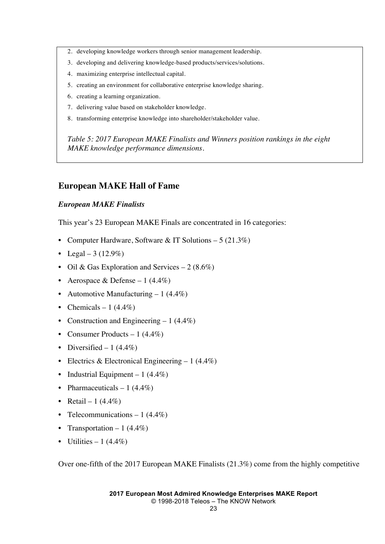- 2. developing knowledge workers through senior management leadership.
- 3. developing and delivering knowledge-based products/services/solutions.
- 4. maximizing enterprise intellectual capital.
- 5. creating an environment for collaborative enterprise knowledge sharing.
- 6. creating a learning organization.
- 7. delivering value based on stakeholder knowledge.
- 8. transforming enterprise knowledge into shareholder/stakeholder value.

*Table 5: 2017 European MAKE Finalists and Winners position rankings in the eight MAKE knowledge performance dimensions.*

#### **European MAKE Hall of Fame**

#### *European MAKE Finalists*

This year's 23 European MAKE Finals are concentrated in 16 categories:

- Computer Hardware, Software & IT Solutions 5 (21.3%)
- Legal 3 (12.9%)
- Oil & Gas Exploration and Services 2 (8.6%)
- Aerospace & Defense 1  $(4.4\%)$
- Automotive Manufacturing  $-1$  (4.4%)
- Chemicals 1 (4.4%)
- Construction and Engineering  $-1$  (4.4%)
- Consumer Products  $-1$  (4.4%)
- Diversified  $-1$  (4.4%)
- Electrics & Electronical Engineering  $-1$  (4.4%)
- Industrial Equipment  $-1$  (4.4%)
- Pharmaceuticals  $-1$  (4.4%)
- Retail 1  $(4.4\%)$
- Telecommunications  $-1$  (4.4%)
- Transportation  $-1$  (4.4%)
- Utilities  $-1$  (4.4%)

Over one-fifth of the 2017 European MAKE Finalists (21.3%) come from the highly competitive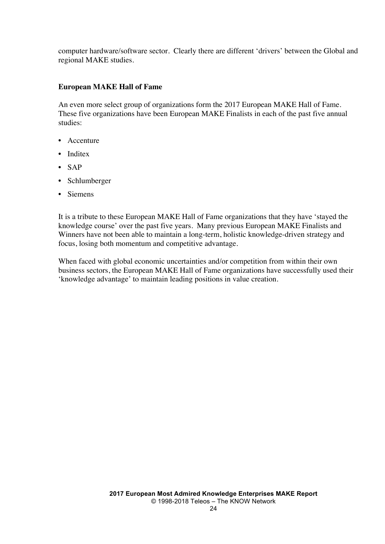computer hardware/software sector. Clearly there are different 'drivers' between the Global and regional MAKE studies.

#### **European MAKE Hall of Fame**

An even more select group of organizations form the 2017 European MAKE Hall of Fame. These five organizations have been European MAKE Finalists in each of the past five annual studies:

- Accenture
- Inditex
- SAP
- Schlumberger
- Siemens

It is a tribute to these European MAKE Hall of Fame organizations that they have 'stayed the knowledge course' over the past five years. Many previous European MAKE Finalists and Winners have not been able to maintain a long-term, holistic knowledge-driven strategy and focus, losing both momentum and competitive advantage.

When faced with global economic uncertainties and/or competition from within their own business sectors, the European MAKE Hall of Fame organizations have successfully used their 'knowledge advantage' to maintain leading positions in value creation.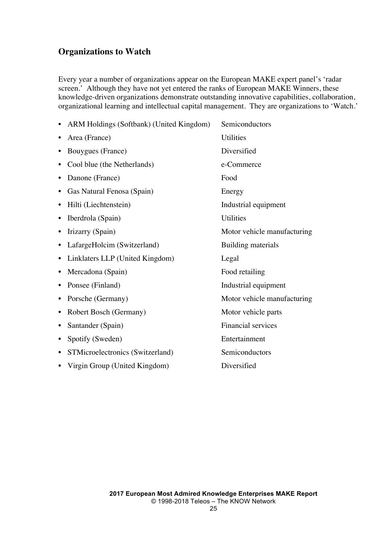### **Organizations to Watch**

Every year a number of organizations appear on the European MAKE expert panel's 'radar screen.' Although they have not yet entered the ranks of European MAKE Winners, these knowledge-driven organizations demonstrate outstanding innovative capabilities, collaboration, organizational learning and intellectual capital management. They are organizations to 'Watch.'

|           | ARM Holdings (Softbank) (United Kingdom) | Semiconductors              |
|-----------|------------------------------------------|-----------------------------|
|           | Area (France)                            | Utilities                   |
|           | Bouygues (France)                        | Diversified                 |
|           | Cool blue (the Netherlands)              | e-Commerce                  |
|           | Danone (France)                          | Food                        |
|           | Gas Natural Fenosa (Spain)               | Energy                      |
|           | Hilti (Liechtenstein)                    | Industrial equipment        |
| $\bullet$ | Iberdrola (Spain)                        | Utilities                   |
| ٠         | Irizarry (Spain)                         | Motor vehicle manufacturing |
| ٠         | LafargeHolcim (Switzerland)              | Building materials          |
| $\bullet$ | Linklaters LLP (United Kingdom)          | Legal                       |
|           | Mercadona (Spain)                        | Food retailing              |
|           | Ponsee (Finland)                         | Industrial equipment        |
| ٠         | Porsche (Germany)                        | Motor vehicle manufacturing |
| ٠         | Robert Bosch (Germany)                   | Motor vehicle parts         |
| ٠         | Santander (Spain)                        | <b>Financial services</b>   |
| ٠         | Spotify (Sweden)                         | Entertainment               |
| ٠         | STMicroelectronics (Switzerland)         | Semiconductors              |
|           | • Virgin Group (United Kingdom)          | Diversified                 |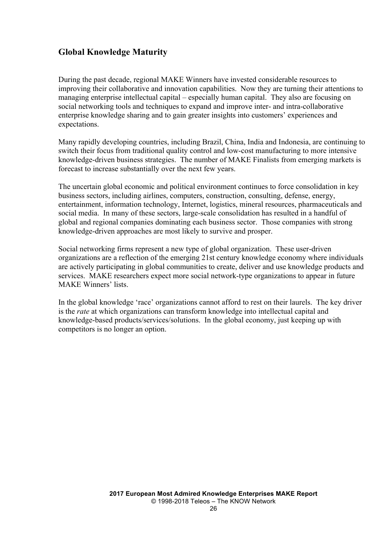## **Global Knowledge Maturity**

During the past decade, regional MAKE Winners have invested considerable resources to improving their collaborative and innovation capabilities. Now they are turning their attentions to managing enterprise intellectual capital – especially human capital. They also are focusing on social networking tools and techniques to expand and improve inter- and intra-collaborative enterprise knowledge sharing and to gain greater insights into customers' experiences and expectations.

Many rapidly developing countries, including Brazil, China, India and Indonesia, are continuing to switch their focus from traditional quality control and low-cost manufacturing to more intensive knowledge-driven business strategies. The number of MAKE Finalists from emerging markets is forecast to increase substantially over the next few years.

The uncertain global economic and political environment continues to force consolidation in key business sectors, including airlines, computers, construction, consulting, defense, energy, entertainment, information technology, Internet, logistics, mineral resources, pharmaceuticals and social media. In many of these sectors, large-scale consolidation has resulted in a handful of global and regional companies dominating each business sector. Those companies with strong knowledge-driven approaches are most likely to survive and prosper.

Social networking firms represent a new type of global organization. These user-driven organizations are a reflection of the emerging 21st century knowledge economy where individuals are actively participating in global communities to create, deliver and use knowledge products and services. MAKE researchers expect more social network-type organizations to appear in future MAKE Winners' lists.

In the global knowledge 'race' organizations cannot afford to rest on their laurels. The key driver is the *rate* at which organizations can transform knowledge into intellectual capital and knowledge-based products/services/solutions. In the global economy, just keeping up with competitors is no longer an option.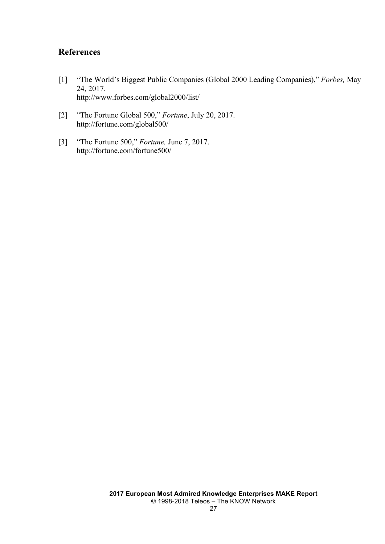### **References**

- [1] "The World's Biggest Public Companies (Global 2000 Leading Companies)," *Forbes,* May 24, 2017. http://www.forbes.com/global2000/list/
- [2] "The Fortune Global 500," *Fortune*, July 20, 2017. http://fortune.com/global500/
- [3] "The Fortune 500," *Fortune,* June 7, 2017. http://fortune.com/fortune500/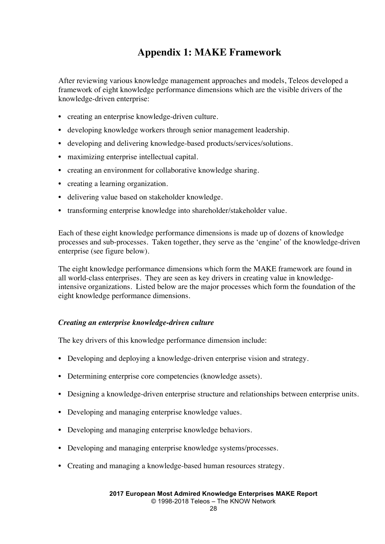## **Appendix 1: MAKE Framework**

After reviewing various knowledge management approaches and models, Teleos developed a framework of eight knowledge performance dimensions which are the visible drivers of the knowledge-driven enterprise:

- creating an enterprise knowledge-driven culture.
- developing knowledge workers through senior management leadership.
- developing and delivering knowledge-based products/services/solutions.
- maximizing enterprise intellectual capital.
- creating an environment for collaborative knowledge sharing.
- creating a learning organization.
- delivering value based on stakeholder knowledge.
- transforming enterprise knowledge into shareholder/stakeholder value.

Each of these eight knowledge performance dimensions is made up of dozens of knowledge processes and sub-processes. Taken together, they serve as the 'engine' of the knowledge-driven enterprise (see figure below).

The eight knowledge performance dimensions which form the MAKE framework are found in all world-class enterprises. They are seen as key drivers in creating value in knowledgeintensive organizations. Listed below are the major processes which form the foundation of the eight knowledge performance dimensions.

#### *Creating an enterprise knowledge-driven culture*

The key drivers of this knowledge performance dimension include:

- Developing and deploying a knowledge-driven enterprise vision and strategy.
- Determining enterprise core competencies (knowledge assets).
- Designing a knowledge-driven enterprise structure and relationships between enterprise units.
- Developing and managing enterprise knowledge values.
- Developing and managing enterprise knowledge behaviors.
- Developing and managing enterprise knowledge systems/processes.
- Creating and managing a knowledge-based human resources strategy.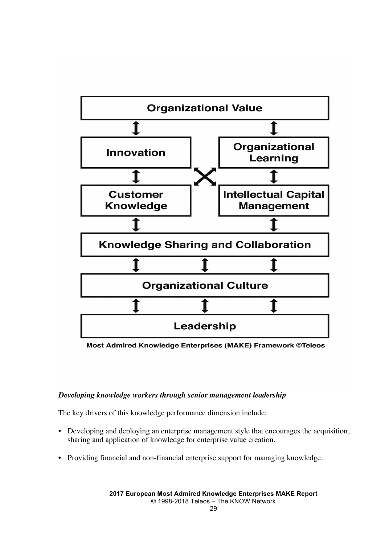

Most Admired Knowledge Enterprises (MAKE) Framework ©Teleos

#### *Developing knowledge workers through senior management leadership*

The key drivers of this knowledge performance dimension include:

- Developing and deploying an enterprise management style that encourages the acquisition, sharing and application of knowledge for enterprise value creation.
- Providing financial and non-financial enterprise support for managing knowledge.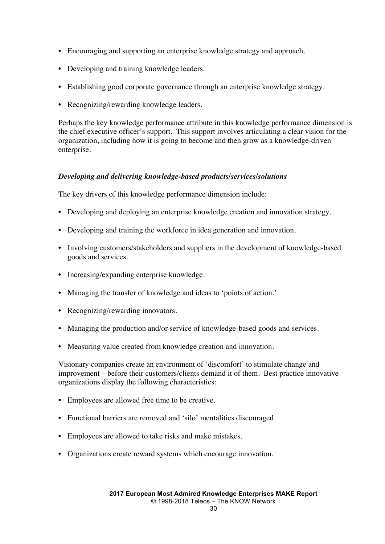- Encouraging and supporting an enterprise knowledge strategy and approach.
- Developing and training knowledge leaders.
- Establishing good corporate governance through an enterprise knowledge strategy.
- Recognizing/rewarding knowledge leaders.

Perhaps the key knowledge performance attribute in this knowledge performance dimension is the chief executive officer's support. This support involves articulating a clear vision for the organization, including how it is going to become and then grow as a knowledge-driven enterprise.

#### *Developing and delivering knowledge-based products/services/solutions*

The key drivers of this knowledge performance dimension include:

- Developing and deploying an enterprise knowledge creation and innovation strategy.
- Developing and training the workforce in idea generation and innovation.
- Involving customers/stakeholders and suppliers in the development of knowledge-based goods and services.
- Increasing/expanding enterprise knowledge.
- Managing the transfer of knowledge and ideas to 'points of action.'
- Recognizing/rewarding innovators.
- Managing the production and/or service of knowledge-based goods and services.
- Measuring value created from knowledge creation and innovation.

Visionary companies create an environment of 'discomfort' to stimulate change and improvement – before their customers/clients demand it of them. Best practice innovative organizations display the following characteristics:

- Employees are allowed free time to be creative.
- Functional barriers are removed and 'silo' mentalities discouraged.
- Employees are allowed to take risks and make mistakes.
- Organizations create reward systems which encourage innovation.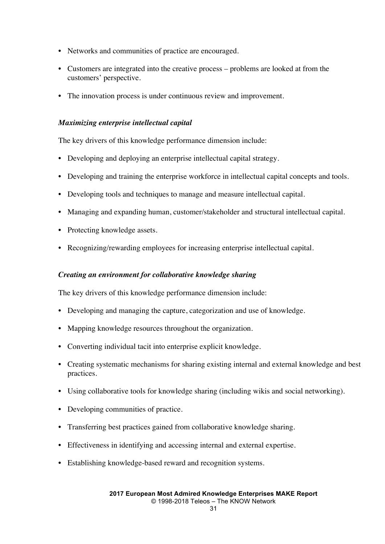- Networks and communities of practice are encouraged.
- Customers are integrated into the creative process problems are looked at from the customers' perspective.
- The innovation process is under continuous review and improvement.

#### *Maximizing enterprise intellectual capital*

The key drivers of this knowledge performance dimension include:

- Developing and deploying an enterprise intellectual capital strategy.
- Developing and training the enterprise workforce in intellectual capital concepts and tools.
- Developing tools and techniques to manage and measure intellectual capital.
- Managing and expanding human, customer/stakeholder and structural intellectual capital.
- Protecting knowledge assets.
- Recognizing/rewarding employees for increasing enterprise intellectual capital.

#### *Creating an environment for collaborative knowledge sharing*

The key drivers of this knowledge performance dimension include:

- Developing and managing the capture, categorization and use of knowledge.
- Mapping knowledge resources throughout the organization.
- Converting individual tacit into enterprise explicit knowledge.
- Creating systematic mechanisms for sharing existing internal and external knowledge and best practices.
- Using collaborative tools for knowledge sharing (including wikis and social networking).
- Developing communities of practice.
- Transferring best practices gained from collaborative knowledge sharing.
- Effectiveness in identifying and accessing internal and external expertise.
- Establishing knowledge-based reward and recognition systems.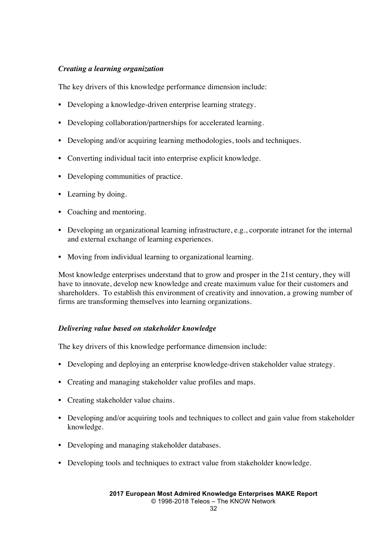#### *Creating a learning organization*

The key drivers of this knowledge performance dimension include:

- Developing a knowledge-driven enterprise learning strategy.
- Developing collaboration/partnerships for accelerated learning.
- Developing and/or acquiring learning methodologies, tools and techniques.
- Converting individual tacit into enterprise explicit knowledge.
- Developing communities of practice.
- Learning by doing.
- Coaching and mentoring.
- Developing an organizational learning infrastructure, e.g., corporate intranet for the internal and external exchange of learning experiences.
- Moving from individual learning to organizational learning.

Most knowledge enterprises understand that to grow and prosper in the 21st century, they will have to innovate, develop new knowledge and create maximum value for their customers and shareholders. To establish this environment of creativity and innovation, a growing number of firms are transforming themselves into learning organizations.

#### *Delivering value based on stakeholder knowledge*

The key drivers of this knowledge performance dimension include:

- Developing and deploying an enterprise knowledge-driven stakeholder value strategy.
- Creating and managing stakeholder value profiles and maps.
- Creating stakeholder value chains.
- Developing and/or acquiring tools and techniques to collect and gain value from stakeholder knowledge.
- Developing and managing stakeholder databases.
- Developing tools and techniques to extract value from stakeholder knowledge.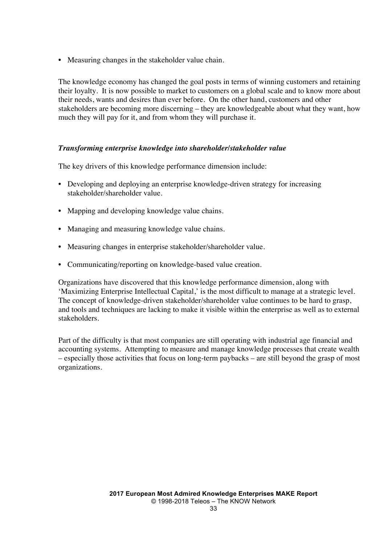• Measuring changes in the stakeholder value chain.

The knowledge economy has changed the goal posts in terms of winning customers and retaining their loyalty. It is now possible to market to customers on a global scale and to know more about their needs, wants and desires than ever before. On the other hand, customers and other stakeholders are becoming more discerning – they are knowledgeable about what they want, how much they will pay for it, and from whom they will purchase it.

#### *Transforming enterprise knowledge into shareholder/stakeholder value*

The key drivers of this knowledge performance dimension include:

- Developing and deploying an enterprise knowledge-driven strategy for increasing stakeholder/shareholder value.
- Mapping and developing knowledge value chains.
- Managing and measuring knowledge value chains.
- Measuring changes in enterprise stakeholder/shareholder value.
- Communicating/reporting on knowledge-based value creation.

Organizations have discovered that this knowledge performance dimension, along with 'Maximizing Enterprise Intellectual Capital,' is the most difficult to manage at a strategic level. The concept of knowledge-driven stakeholder/shareholder value continues to be hard to grasp, and tools and techniques are lacking to make it visible within the enterprise as well as to external stakeholders.

Part of the difficulty is that most companies are still operating with industrial age financial and accounting systems. Attempting to measure and manage knowledge processes that create wealth – especially those activities that focus on long-term paybacks – are still beyond the grasp of most organizations.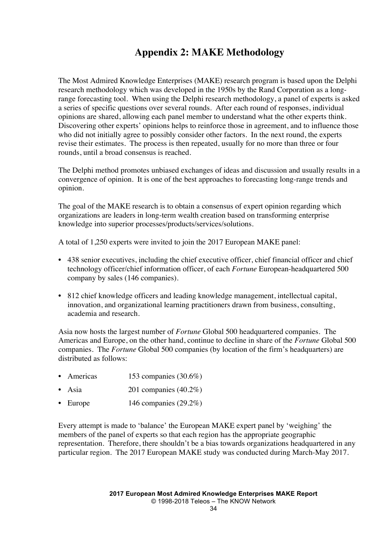## **Appendix 2: MAKE Methodology**

The Most Admired Knowledge Enterprises (MAKE) research program is based upon the Delphi research methodology which was developed in the 1950s by the Rand Corporation as a longrange forecasting tool. When using the Delphi research methodology, a panel of experts is asked a series of specific questions over several rounds. After each round of responses, individual opinions are shared, allowing each panel member to understand what the other experts think. Discovering other experts' opinions helps to reinforce those in agreement, and to influence those who did not initially agree to possibly consider other factors. In the next round, the experts revise their estimates. The process is then repeated, usually for no more than three or four rounds, until a broad consensus is reached.

The Delphi method promotes unbiased exchanges of ideas and discussion and usually results in a convergence of opinion. It is one of the best approaches to forecasting long-range trends and opinion.

The goal of the MAKE research is to obtain a consensus of expert opinion regarding which organizations are leaders in long-term wealth creation based on transforming enterprise knowledge into superior processes/products/services/solutions.

A total of 1,250 experts were invited to join the 2017 European MAKE panel:

- 438 senior executives, including the chief executive officer, chief financial officer and chief technology officer/chief information officer, of each *Fortune* European-headquartered 500 company by sales (146 companies).
- 812 chief knowledge officers and leading knowledge management, intellectual capital, innovation, and organizational learning practitioners drawn from business, consulting, academia and research.

Asia now hosts the largest number of *Fortune* Global 500 headquartered companies. The Americas and Europe, on the other hand, continue to decline in share of the *Fortune* Global 500 companies. The *Fortune* Global 500 companies (by location of the firm's headquarters) are distributed as follows:

- Americas 153 companies (30.6%)
- Asia  $201$  companies  $(40.2\%)$
- Europe  $146$  companies  $(29.2\%)$

Every attempt is made to 'balance' the European MAKE expert panel by 'weighing' the members of the panel of experts so that each region has the appropriate geographic representation. Therefore, there shouldn't be a bias towards organizations headquartered in any particular region. The 2017 European MAKE study was conducted during March-May 2017.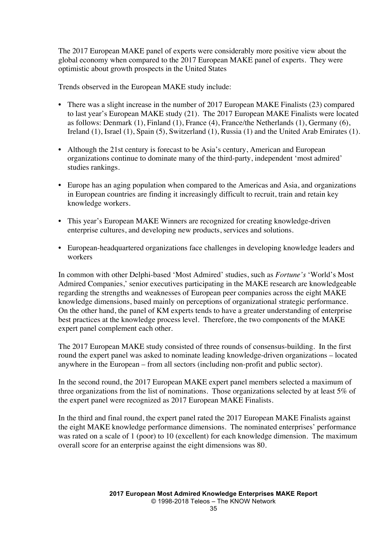The 2017 European MAKE panel of experts were considerably more positive view about the global economy when compared to the 2017 European MAKE panel of experts. They were optimistic about growth prospects in the United States

Trends observed in the European MAKE study include:

- There was a slight increase in the number of 2017 European MAKE Finalists (23) compared to last year's European MAKE study (21). The 2017 European MAKE Finalists were located as follows: Denmark (1), Finland (1), France (4), France/the Netherlands (1), Germany (6), Ireland (1), Israel (1), Spain (5), Switzerland (1), Russia (1) and the United Arab Emirates (1).
- Although the 21st century is forecast to be Asia's century, American and European organizations continue to dominate many of the third-party, independent 'most admired' studies rankings.
- Europe has an aging population when compared to the Americas and Asia, and organizations in European countries are finding it increasingly difficult to recruit, train and retain key knowledge workers.
- This year's European MAKE Winners are recognized for creating knowledge-driven enterprise cultures, and developing new products, services and solutions.
- European-headquartered organizations face challenges in developing knowledge leaders and workers

In common with other Delphi-based 'Most Admired' studies, such as *Fortune's* 'World's Most Admired Companies,' senior executives participating in the MAKE research are knowledgeable regarding the strengths and weaknesses of European peer companies across the eight MAKE knowledge dimensions, based mainly on perceptions of organizational strategic performance. On the other hand, the panel of KM experts tends to have a greater understanding of enterprise best practices at the knowledge process level. Therefore, the two components of the MAKE expert panel complement each other.

The 2017 European MAKE study consisted of three rounds of consensus-building. In the first round the expert panel was asked to nominate leading knowledge-driven organizations – located anywhere in the European – from all sectors (including non-profit and public sector).

In the second round, the 2017 European MAKE expert panel members selected a maximum of three organizations from the list of nominations. Those organizations selected by at least 5% of the expert panel were recognized as 2017 European MAKE Finalists.

In the third and final round, the expert panel rated the 2017 European MAKE Finalists against the eight MAKE knowledge performance dimensions. The nominated enterprises' performance was rated on a scale of 1 (poor) to 10 (excellent) for each knowledge dimension. The maximum overall score for an enterprise against the eight dimensions was 80.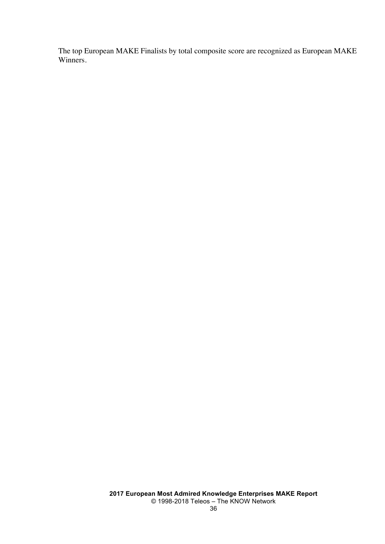The top European MAKE Finalists by total composite score are recognized as European MAKE Winners.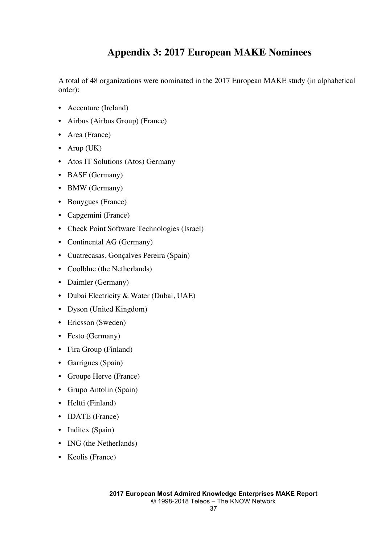## **Appendix 3: 2017 European MAKE Nominees**

A total of 48 organizations were nominated in the 2017 European MAKE study (in alphabetical order):

- Accenture (Ireland)
- Airbus (Airbus Group) (France)
- Area (France)
- Arup (UK)
- Atos IT Solutions (Atos) Germany
- BASF (Germany)
- BMW (Germany)
- Bouygues (France)
- Capgemini (France)
- Check Point Software Technologies (Israel)
- Continental AG (Germany)
- Cuatrecasas, Gonçalves Pereira (Spain)
- Coolblue (the Netherlands)
- Daimler (Germany)
- Dubai Electricity & Water (Dubai, UAE)
- Dyson (United Kingdom)
- Ericsson (Sweden)
- Festo (Germany)
- Fira Group (Finland)
- Garrigues (Spain)
- Groupe Herve (France)
- Grupo Antolin (Spain)
- Heltti (Finland)
- **IDATE** (France)
- Inditex (Spain)
- ING (the Netherlands)
- Keolis (France)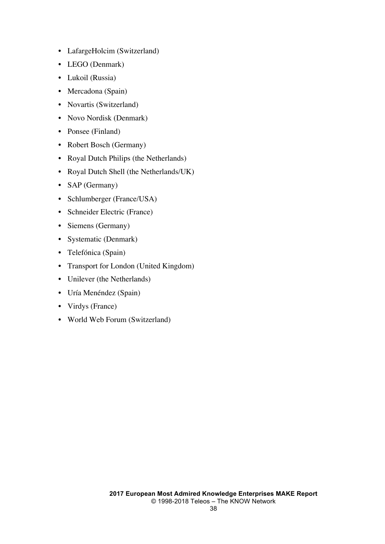- LafargeHolcim (Switzerland)
- LEGO (Denmark)
- Lukoil (Russia)
- Mercadona (Spain)
- Novartis (Switzerland)
- Novo Nordisk (Denmark)
- Ponsee (Finland)
- Robert Bosch (Germany)
- Royal Dutch Philips (the Netherlands)
- Royal Dutch Shell (the Netherlands/UK)
- SAP (Germany)
- Schlumberger (France/USA)
- Schneider Electric (France)
- Siemens (Germany)
- Systematic (Denmark)
- Telefónica (Spain)
- Transport for London (United Kingdom)
- Unilever (the Netherlands)
- Uría Menéndez (Spain)
- Virdys (France)
- World Web Forum (Switzerland)